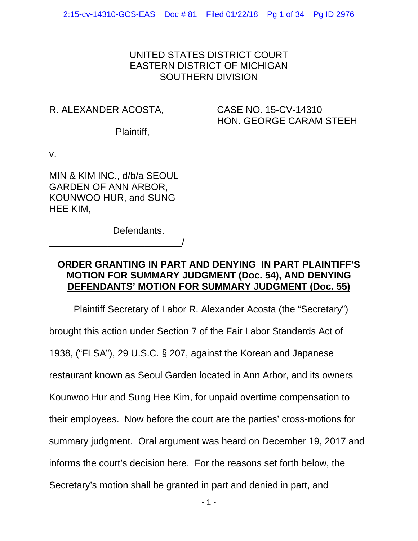# UNITED STATES DISTRICT COURT EASTERN DISTRICT OF MICHIGAN SOUTHERN DIVISION

# R. ALEXANDER ACOSTA,

# CASE NO. 15-CV-14310 HON. GEORGE CARAM STEEH

Plaintiff,

v.

MIN & KIM INC., d/b/a SEOUL GARDEN OF ANN ARBOR, KOUNWOO HUR, and SUNG HEE KIM,

\_\_\_\_\_\_\_\_\_\_\_\_\_\_\_\_\_\_\_\_\_\_\_\_\_/

Defendants.

# **ORDER GRANTING IN PART AND DENYING IN PART PLAINTIFF'S MOTION FOR SUMMARY JUDGMENT (Doc. 54), AND DENYING DEFENDANTS' MOTION FOR SUMMARY JUDGMENT (Doc. 55)**

Plaintiff Secretary of Labor R. Alexander Acosta (the "Secretary")

brought this action under Section 7 of the Fair Labor Standards Act of

1938, ("FLSA"), 29 U.S.C. § 207, against the Korean and Japanese

restaurant known as Seoul Garden located in Ann Arbor, and its owners

Kounwoo Hur and Sung Hee Kim, for unpaid overtime compensation to

their employees. Now before the court are the parties' cross-motions for

summary judgment. Oral argument was heard on December 19, 2017 and

informs the court's decision here. For the reasons set forth below, the

Secretary's motion shall be granted in part and denied in part, and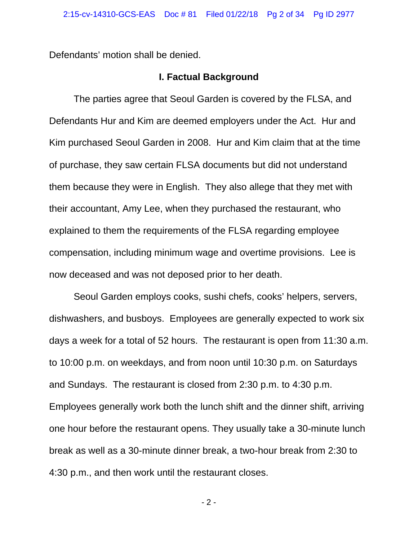Defendants' motion shall be denied.

#### **I. Factual Background**

The parties agree that Seoul Garden is covered by the FLSA, and Defendants Hur and Kim are deemed employers under the Act. Hur and Kim purchased Seoul Garden in 2008. Hur and Kim claim that at the time of purchase, they saw certain FLSA documents but did not understand them because they were in English. They also allege that they met with their accountant, Amy Lee, when they purchased the restaurant, who explained to them the requirements of the FLSA regarding employee compensation, including minimum wage and overtime provisions. Lee is now deceased and was not deposed prior to her death.

 Seoul Garden employs cooks, sushi chefs, cooks' helpers, servers, dishwashers, and busboys. Employees are generally expected to work six days a week for a total of 52 hours. The restaurant is open from 11:30 a.m. to 10:00 p.m. on weekdays, and from noon until 10:30 p.m. on Saturdays and Sundays. The restaurant is closed from 2:30 p.m. to 4:30 p.m. Employees generally work both the lunch shift and the dinner shift, arriving one hour before the restaurant opens. They usually take a 30-minute lunch break as well as a 30-minute dinner break, a two-hour break from 2:30 to 4:30 p.m., and then work until the restaurant closes.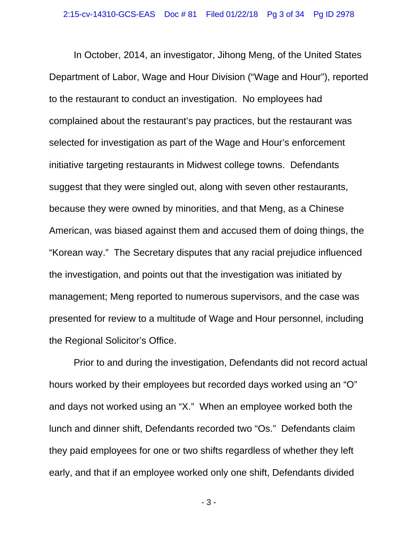In October, 2014, an investigator, Jihong Meng, of the United States Department of Labor, Wage and Hour Division ("Wage and Hour"), reported to the restaurant to conduct an investigation. No employees had complained about the restaurant's pay practices, but the restaurant was selected for investigation as part of the Wage and Hour's enforcement initiative targeting restaurants in Midwest college towns. Defendants suggest that they were singled out, along with seven other restaurants, because they were owned by minorities, and that Meng, as a Chinese American, was biased against them and accused them of doing things, the "Korean way." The Secretary disputes that any racial prejudice influenced the investigation, and points out that the investigation was initiated by management; Meng reported to numerous supervisors, and the case was presented for review to a multitude of Wage and Hour personnel, including the Regional Solicitor's Office.

Prior to and during the investigation, Defendants did not record actual hours worked by their employees but recorded days worked using an "O" and days not worked using an "X." When an employee worked both the lunch and dinner shift, Defendants recorded two "Os." Defendants claim they paid employees for one or two shifts regardless of whether they left early, and that if an employee worked only one shift, Defendants divided

- 3 -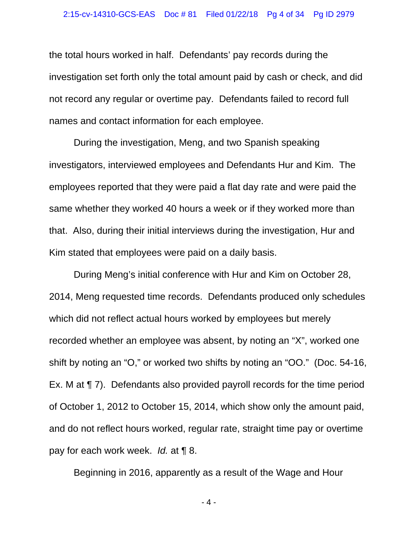the total hours worked in half. Defendants' pay records during the investigation set forth only the total amount paid by cash or check, and did not record any regular or overtime pay. Defendants failed to record full names and contact information for each employee.

During the investigation, Meng, and two Spanish speaking investigators, interviewed employees and Defendants Hur and Kim. The employees reported that they were paid a flat day rate and were paid the same whether they worked 40 hours a week or if they worked more than that. Also, during their initial interviews during the investigation, Hur and Kim stated that employees were paid on a daily basis.

During Meng's initial conference with Hur and Kim on October 28, 2014, Meng requested time records. Defendants produced only schedules which did not reflect actual hours worked by employees but merely recorded whether an employee was absent, by noting an "X", worked one shift by noting an "O," or worked two shifts by noting an "OO." (Doc. 54-16, Ex. M at ¶ 7). Defendants also provided payroll records for the time period of October 1, 2012 to October 15, 2014, which show only the amount paid, and do not reflect hours worked, regular rate, straight time pay or overtime pay for each work week. *Id.* at ¶ 8.

Beginning in 2016, apparently as a result of the Wage and Hour

- 4 -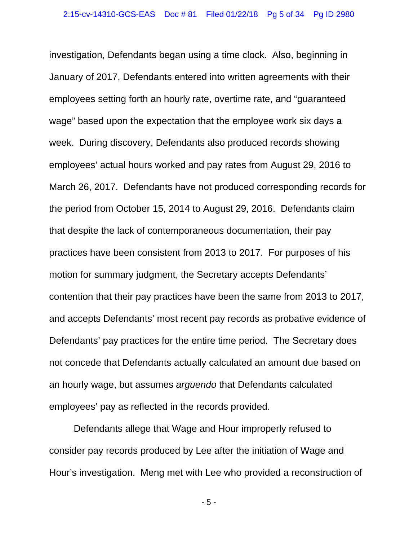investigation, Defendants began using a time clock. Also, beginning in January of 2017, Defendants entered into written agreements with their employees setting forth an hourly rate, overtime rate, and "guaranteed wage" based upon the expectation that the employee work six days a week. During discovery, Defendants also produced records showing employees' actual hours worked and pay rates from August 29, 2016 to March 26, 2017. Defendants have not produced corresponding records for the period from October 15, 2014 to August 29, 2016. Defendants claim that despite the lack of contemporaneous documentation, their pay practices have been consistent from 2013 to 2017. For purposes of his motion for summary judgment, the Secretary accepts Defendants' contention that their pay practices have been the same from 2013 to 2017, and accepts Defendants' most recent pay records as probative evidence of Defendants' pay practices for the entire time period. The Secretary does not concede that Defendants actually calculated an amount due based on an hourly wage, but assumes *arguendo* that Defendants calculated employees' pay as reflected in the records provided.

 Defendants allege that Wage and Hour improperly refused to consider pay records produced by Lee after the initiation of Wage and Hour's investigation. Meng met with Lee who provided a reconstruction of

- 5 -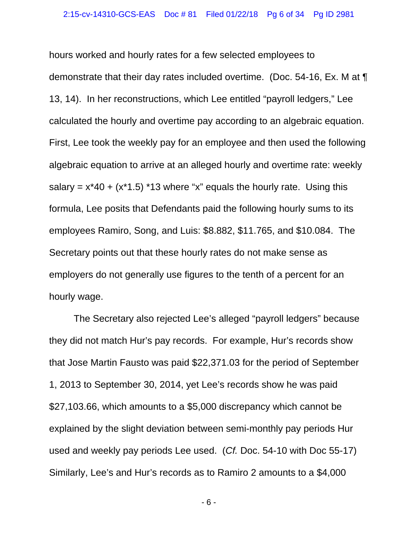hours worked and hourly rates for a few selected employees to demonstrate that their day rates included overtime. (Doc. 54-16, Ex. M at ¶ 13, 14). In her reconstructions, which Lee entitled "payroll ledgers," Lee calculated the hourly and overtime pay according to an algebraic equation. First, Lee took the weekly pay for an employee and then used the following algebraic equation to arrive at an alleged hourly and overtime rate: weekly salary =  $x*40 + (x*1.5) *13$  where "x" equals the hourly rate. Using this formula, Lee posits that Defendants paid the following hourly sums to its employees Ramiro, Song, and Luis: \$8.882, \$11.765, and \$10.084. The Secretary points out that these hourly rates do not make sense as employers do not generally use figures to the tenth of a percent for an hourly wage.

The Secretary also rejected Lee's alleged "payroll ledgers" because they did not match Hur's pay records. For example, Hur's records show that Jose Martin Fausto was paid \$22,371.03 for the period of September 1, 2013 to September 30, 2014, yet Lee's records show he was paid \$27,103.66, which amounts to a \$5,000 discrepancy which cannot be explained by the slight deviation between semi-monthly pay periods Hur used and weekly pay periods Lee used. (*Cf.* Doc. 54-10 with Doc 55-17) Similarly, Lee's and Hur's records as to Ramiro 2 amounts to a \$4,000

- 6 -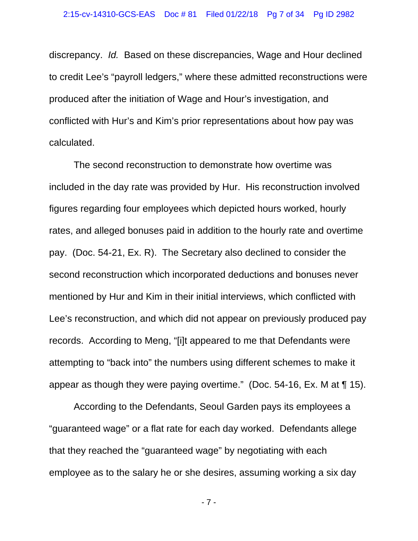discrepancy. *Id.* Based on these discrepancies, Wage and Hour declined to credit Lee's "payroll ledgers," where these admitted reconstructions were produced after the initiation of Wage and Hour's investigation, and conflicted with Hur's and Kim's prior representations about how pay was calculated.

The second reconstruction to demonstrate how overtime was included in the day rate was provided by Hur. His reconstruction involved figures regarding four employees which depicted hours worked, hourly rates, and alleged bonuses paid in addition to the hourly rate and overtime pay. (Doc. 54-21, Ex. R). The Secretary also declined to consider the second reconstruction which incorporated deductions and bonuses never mentioned by Hur and Kim in their initial interviews, which conflicted with Lee's reconstruction, and which did not appear on previously produced pay records. According to Meng, "[i]t appeared to me that Defendants were attempting to "back into" the numbers using different schemes to make it appear as though they were paying overtime." (Doc. 54-16, Ex. M at ¶ 15).

 According to the Defendants, Seoul Garden pays its employees a "guaranteed wage" or a flat rate for each day worked. Defendants allege that they reached the "guaranteed wage" by negotiating with each employee as to the salary he or she desires, assuming working a six day

- 7 -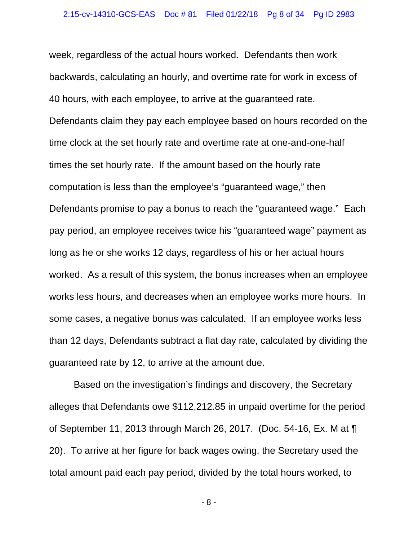week, regardless of the actual hours worked. Defendants then work backwards, calculating an hourly, and overtime rate for work in excess of 40 hours, with each employee, to arrive at the guaranteed rate. Defendants claim they pay each employee based on hours recorded on the time clock at the set hourly rate and overtime rate at one-and-one-half times the set hourly rate. If the amount based on the hourly rate computation is less than the employee's "guaranteed wage," then Defendants promise to pay a bonus to reach the "guaranteed wage." Each pay period, an employee receives twice his "guaranteed wage" payment as long as he or she works 12 days, regardless of his or her actual hours worked. As a result of this system, the bonus increases when an employee works less hours, and decreases when an employee works more hours. In some cases, a negative bonus was calculated. If an employee works less than 12 days, Defendants subtract a flat day rate, calculated by dividing the guaranteed rate by 12, to arrive at the amount due.

 Based on the investigation's findings and discovery, the Secretary alleges that Defendants owe \$112,212.85 in unpaid overtime for the period of September 11, 2013 through March 26, 2017. (Doc. 54-16, Ex. M at ¶ 20). To arrive at her figure for back wages owing, the Secretary used the total amount paid each pay period, divided by the total hours worked, to

- 8 -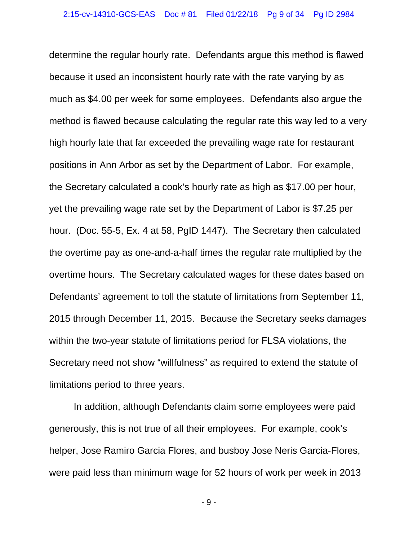determine the regular hourly rate. Defendants argue this method is flawed because it used an inconsistent hourly rate with the rate varying by as much as \$4.00 per week for some employees. Defendants also argue the method is flawed because calculating the regular rate this way led to a very high hourly late that far exceeded the prevailing wage rate for restaurant positions in Ann Arbor as set by the Department of Labor. For example, the Secretary calculated a cook's hourly rate as high as \$17.00 per hour, yet the prevailing wage rate set by the Department of Labor is \$7.25 per hour. (Doc. 55-5, Ex. 4 at 58, PgID 1447). The Secretary then calculated the overtime pay as one-and-a-half times the regular rate multiplied by the overtime hours. The Secretary calculated wages for these dates based on Defendants' agreement to toll the statute of limitations from September 11, 2015 through December 11, 2015. Because the Secretary seeks damages within the two-year statute of limitations period for FLSA violations, the Secretary need not show "willfulness" as required to extend the statute of limitations period to three years.

 In addition, although Defendants claim some employees were paid generously, this is not true of all their employees. For example, cook's helper, Jose Ramiro Garcia Flores, and busboy Jose Neris Garcia-Flores, were paid less than minimum wage for 52 hours of work per week in 2013

- 9 -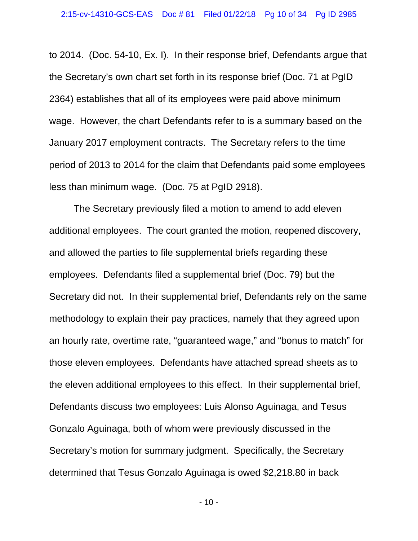to 2014. (Doc. 54-10, Ex. I). In their response brief, Defendants argue that the Secretary's own chart set forth in its response brief (Doc. 71 at PgID 2364) establishes that all of its employees were paid above minimum wage. However, the chart Defendants refer to is a summary based on the January 2017 employment contracts. The Secretary refers to the time period of 2013 to 2014 for the claim that Defendants paid some employees less than minimum wage. (Doc. 75 at PgID 2918).

 The Secretary previously filed a motion to amend to add eleven additional employees. The court granted the motion, reopened discovery, and allowed the parties to file supplemental briefs regarding these employees. Defendants filed a supplemental brief (Doc. 79) but the Secretary did not. In their supplemental brief, Defendants rely on the same methodology to explain their pay practices, namely that they agreed upon an hourly rate, overtime rate, "guaranteed wage," and "bonus to match" for those eleven employees. Defendants have attached spread sheets as to the eleven additional employees to this effect. In their supplemental brief, Defendants discuss two employees: Luis Alonso Aguinaga, and Tesus Gonzalo Aguinaga, both of whom were previously discussed in the Secretary's motion for summary judgment. Specifically, the Secretary determined that Tesus Gonzalo Aguinaga is owed \$2,218.80 in back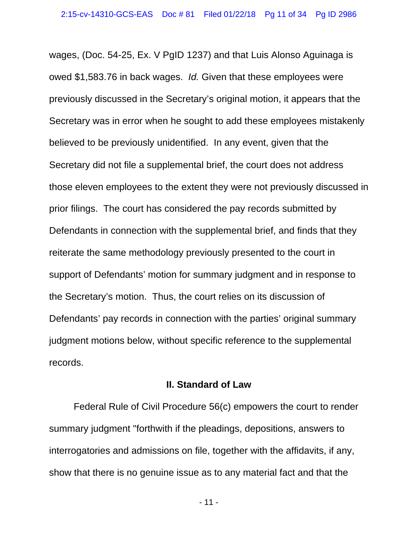wages, (Doc. 54-25, Ex. V PgID 1237) and that Luis Alonso Aguinaga is owed \$1,583.76 in back wages. *Id.* Given that these employees were previously discussed in the Secretary's original motion, it appears that the Secretary was in error when he sought to add these employees mistakenly believed to be previously unidentified. In any event, given that the Secretary did not file a supplemental brief, the court does not address those eleven employees to the extent they were not previously discussed in prior filings. The court has considered the pay records submitted by Defendants in connection with the supplemental brief, and finds that they reiterate the same methodology previously presented to the court in support of Defendants' motion for summary judgment and in response to the Secretary's motion. Thus, the court relies on its discussion of Defendants' pay records in connection with the parties' original summary judgment motions below, without specific reference to the supplemental records.

### **II. Standard of Law**

Federal Rule of Civil Procedure 56(c) empowers the court to render summary judgment "forthwith if the pleadings, depositions, answers to interrogatories and admissions on file, together with the affidavits, if any, show that there is no genuine issue as to any material fact and that the

- 11 -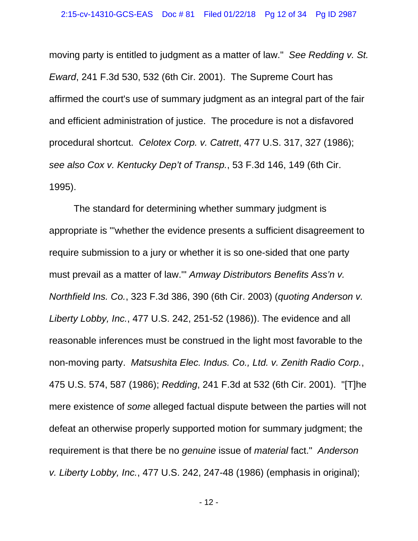moving party is entitled to judgment as a matter of law." *See Redding v. St. Eward*, 241 F.3d 530, 532 (6th Cir. 2001). The Supreme Court has affirmed the court's use of summary judgment as an integral part of the fair and efficient administration of justice. The procedure is not a disfavored procedural shortcut. *Celotex Corp. v. Catrett*, 477 U.S. 317, 327 (1986); *see also Cox v. Kentucky Dep't of Transp.*, 53 F.3d 146, 149 (6th Cir. 1995).

 The standard for determining whether summary judgment is appropriate is "'whether the evidence presents a sufficient disagreement to require submission to a jury or whether it is so one-sided that one party must prevail as a matter of law.'" *Amway Distributors Benefits Ass'n v. Northfield Ins. Co.*, 323 F.3d 386, 390 (6th Cir. 2003) (*quoting Anderson v. Liberty Lobby, Inc.*, 477 U.S. 242, 251-52 (1986)). The evidence and all reasonable inferences must be construed in the light most favorable to the non-moving party. *Matsushita Elec. Indus. Co., Ltd. v. Zenith Radio Corp.*, 475 U.S. 574, 587 (1986); *Redding*, 241 F.3d at 532 (6th Cir. 2001). "[T]he mere existence of *some* alleged factual dispute between the parties will not defeat an otherwise properly supported motion for summary judgment; the requirement is that there be no *genuine* issue of *material* fact." *Anderson v. Liberty Lobby, Inc.*, 477 U.S. 242, 247-48 (1986) (emphasis in original);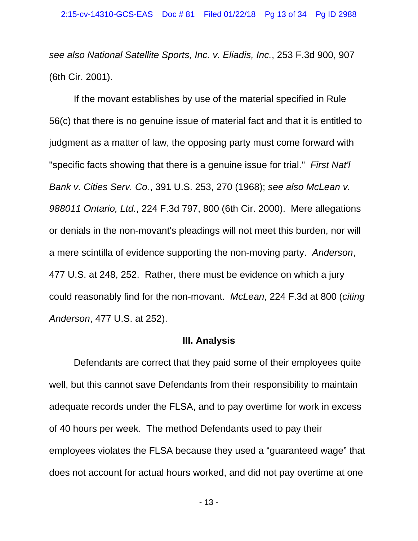*see also National Satellite Sports, Inc. v. Eliadis, Inc.*, 253 F.3d 900, 907 (6th Cir. 2001).

 If the movant establishes by use of the material specified in Rule 56(c) that there is no genuine issue of material fact and that it is entitled to judgment as a matter of law, the opposing party must come forward with "specific facts showing that there is a genuine issue for trial." *First Nat'l Bank v. Cities Serv. Co.*, 391 U.S. 253, 270 (1968); *see also McLean v. 988011 Ontario, Ltd.*, 224 F.3d 797, 800 (6th Cir. 2000). Mere allegations or denials in the non-movant's pleadings will not meet this burden, nor will a mere scintilla of evidence supporting the non-moving party. *Anderson*, 477 U.S. at 248, 252. Rather, there must be evidence on which a jury could reasonably find for the non-movant. *McLean*, 224 F.3d at 800 (*citing Anderson*, 477 U.S. at 252).

#### **III. Analysis**

Defendants are correct that they paid some of their employees quite well, but this cannot save Defendants from their responsibility to maintain adequate records under the FLSA, and to pay overtime for work in excess of 40 hours per week. The method Defendants used to pay their employees violates the FLSA because they used a "guaranteed wage" that does not account for actual hours worked, and did not pay overtime at one

- 13 -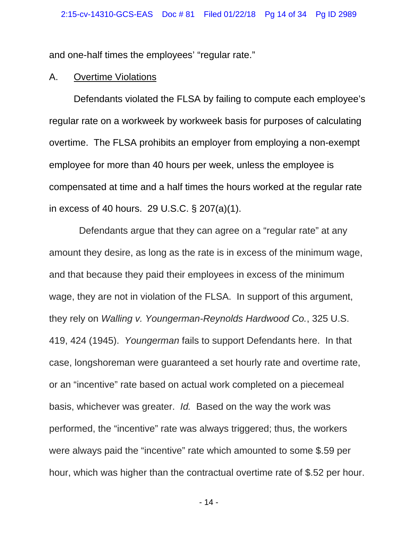and one-half times the employees' "regular rate."

#### A. Overtime Violations

Defendants violated the FLSA by failing to compute each employee's regular rate on a workweek by workweek basis for purposes of calculating overtime. The FLSA prohibits an employer from employing a non-exempt employee for more than 40 hours per week, unless the employee is compensated at time and a half times the hours worked at the regular rate in excess of 40 hours. 29 U.S.C. § 207(a)(1).

 Defendants argue that they can agree on a "regular rate" at any amount they desire, as long as the rate is in excess of the minimum wage, and that because they paid their employees in excess of the minimum wage, they are not in violation of the FLSA. In support of this argument, they rely on *Walling v. Youngerman-Reynolds Hardwood Co.*, 325 U.S. 419, 424 (1945). *Youngerman* fails to support Defendants here. In that case, longshoreman were guaranteed a set hourly rate and overtime rate, or an "incentive" rate based on actual work completed on a piecemeal basis, whichever was greater. *Id.* Based on the way the work was performed, the "incentive" rate was always triggered; thus, the workers were always paid the "incentive" rate which amounted to some \$.59 per hour, which was higher than the contractual overtime rate of \$.52 per hour.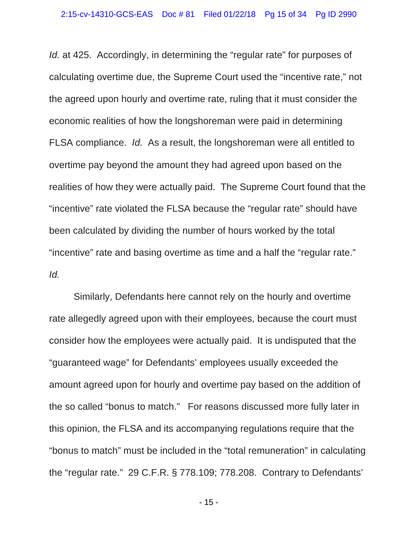*Id.* at 425. Accordingly, in determining the "regular rate" for purposes of calculating overtime due, the Supreme Court used the "incentive rate," not the agreed upon hourly and overtime rate, ruling that it must consider the economic realities of how the longshoreman were paid in determining FLSA compliance. *Id.* As a result, the longshoreman were all entitled to overtime pay beyond the amount they had agreed upon based on the realities of how they were actually paid. The Supreme Court found that the "incentive" rate violated the FLSA because the "regular rate" should have been calculated by dividing the number of hours worked by the total "incentive" rate and basing overtime as time and a half the "regular rate." *Id.*

Similarly, Defendants here cannot rely on the hourly and overtime rate allegedly agreed upon with their employees, because the court must consider how the employees were actually paid. It is undisputed that the "guaranteed wage" for Defendants' employees usually exceeded the amount agreed upon for hourly and overtime pay based on the addition of the so called "bonus to match." For reasons discussed more fully later in this opinion, the FLSA and its accompanying regulations require that the "bonus to match" must be included in the "total remuneration" in calculating the "regular rate." 29 C.F.R. § 778.109; 778.208. Contrary to Defendants'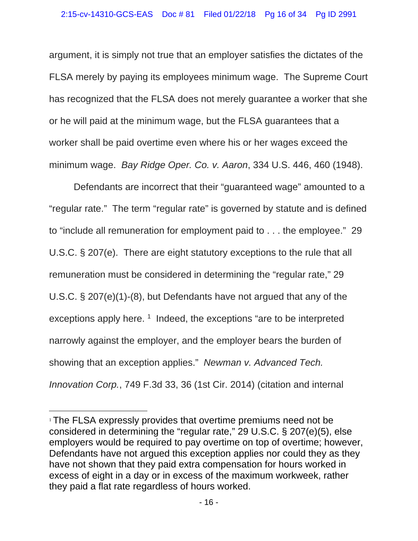argument, it is simply not true that an employer satisfies the dictates of the FLSA merely by paying its employees minimum wage. The Supreme Court has recognized that the FLSA does not merely guarantee a worker that she or he will paid at the minimum wage, but the FLSA guarantees that a worker shall be paid overtime even where his or her wages exceed the minimum wage. *Bay Ridge Oper. Co. v. Aaron*, 334 U.S. 446, 460 (1948).

 Defendants are incorrect that their "guaranteed wage" amounted to a "regular rate." The term "regular rate" is governed by statute and is defined to "include all remuneration for employment paid to . . . the employee." 29 U.S.C. § 207(e). There are eight statutory exceptions to the rule that all remuneration must be considered in determining the "regular rate," 29 U.S.C. § 207(e)(1)-(8), but Defendants have not argued that any of the exceptions apply here.  $1$  Indeed, the exceptions "are to be interpreted narrowly against the employer, and the employer bears the burden of showing that an exception applies." *Newman v. Advanced Tech. Innovation Corp.*, 749 F.3d 33, 36 (1st Cir. 2014) (citation and internal

 $\overline{a}$ 

<sup>&</sup>lt;sup>1</sup> The FLSA expressly provides that overtime premiums need not be considered in determining the "regular rate," 29 U.S.C. § 207(e)(5), else employers would be required to pay overtime on top of overtime; however, Defendants have not argued this exception applies nor could they as they have not shown that they paid extra compensation for hours worked in excess of eight in a day or in excess of the maximum workweek, rather they paid a flat rate regardless of hours worked.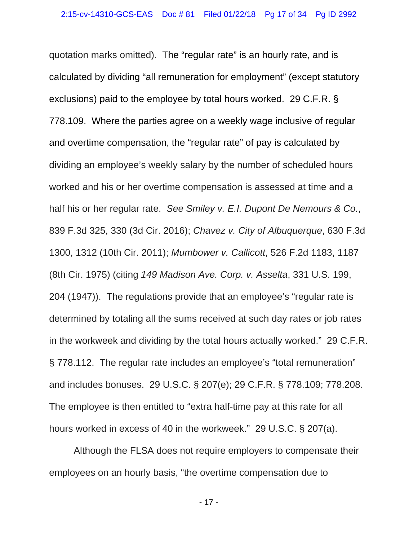quotation marks omitted). The "regular rate" is an hourly rate, and is calculated by dividing "all remuneration for employment" (except statutory exclusions) paid to the employee by total hours worked. 29 C.F.R. § 778.109. Where the parties agree on a weekly wage inclusive of regular and overtime compensation, the "regular rate" of pay is calculated by dividing an employee's weekly salary by the number of scheduled hours worked and his or her overtime compensation is assessed at time and a half his or her regular rate. *See Smiley v. E.I. Dupont De Nemours & Co.*, 839 F.3d 325, 330 (3d Cir. 2016); *Chavez v. City of Albuquerque*, 630 F.3d 1300, 1312 (10th Cir. 2011); *Mumbower v. Callicott*, 526 F.2d 1183, 1187 (8th Cir. 1975) (citing *149 Madison Ave. Corp. v. Asselta*, 331 U.S. 199, 204 (1947)). The regulations provide that an employee's "regular rate is determined by totaling all the sums received at such day rates or job rates in the workweek and dividing by the total hours actually worked." 29 C.F.R. § 778.112. The regular rate includes an employee's "total remuneration" and includes bonuses. 29 U.S.C. § 207(e); 29 C.F.R. § 778.109; 778.208. The employee is then entitled to "extra half-time pay at this rate for all hours worked in excess of 40 in the workweek." 29 U.S.C. § 207(a).

Although the FLSA does not require employers to compensate their employees on an hourly basis, "the overtime compensation due to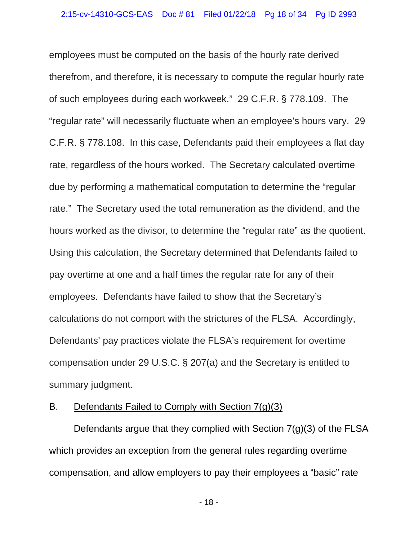employees must be computed on the basis of the hourly rate derived therefrom, and therefore, it is necessary to compute the regular hourly rate of such employees during each workweek." 29 C.F.R. § 778.109. The "regular rate" will necessarily fluctuate when an employee's hours vary. 29 C.F.R. § 778.108. In this case, Defendants paid their employees a flat day rate, regardless of the hours worked. The Secretary calculated overtime due by performing a mathematical computation to determine the "regular rate." The Secretary used the total remuneration as the dividend, and the hours worked as the divisor, to determine the "regular rate" as the quotient. Using this calculation, the Secretary determined that Defendants failed to pay overtime at one and a half times the regular rate for any of their employees. Defendants have failed to show that the Secretary's calculations do not comport with the strictures of the FLSA. Accordingly, Defendants' pay practices violate the FLSA's requirement for overtime compensation under 29 U.S.C. § 207(a) and the Secretary is entitled to summary judgment.

### B. Defendants Failed to Comply with Section 7(g)(3)

Defendants argue that they complied with Section 7(g)(3) of the FLSA which provides an exception from the general rules regarding overtime compensation, and allow employers to pay their employees a "basic" rate

- 18 -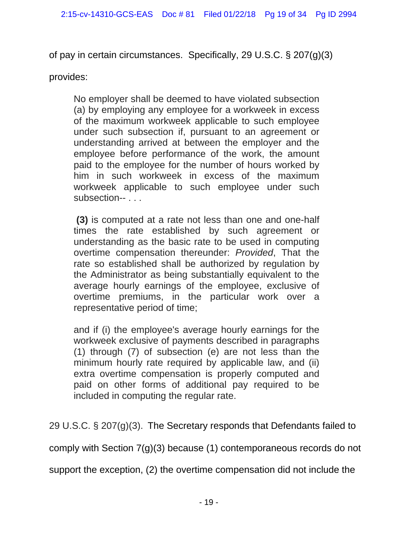of pay in certain circumstances. Specifically, 29 U.S.C. § 207(g)(3)

provides:

No employer shall be deemed to have violated subsection (a) by employing any employee for a workweek in excess of the maximum workweek applicable to such employee under such subsection if, pursuant to an agreement or understanding arrived at between the employer and the employee before performance of the work, the amount paid to the employee for the number of hours worked by him in such workweek in excess of the maximum workweek applicable to such employee under such subsection-- . . .

 **(3)** is computed at a rate not less than one and one-half times the rate established by such agreement or understanding as the basic rate to be used in computing overtime compensation thereunder: *Provided*, That the rate so established shall be authorized by regulation by the Administrator as being substantially equivalent to the average hourly earnings of the employee, exclusive of overtime premiums, in the particular work over a representative period of time;

and if (i) the employee's average hourly earnings for the workweek exclusive of payments described in paragraphs (1) through (7) of subsection (e) are not less than the minimum hourly rate required by applicable law, and (ii) extra overtime compensation is properly computed and paid on other forms of additional pay required to be included in computing the regular rate.

29 U.S.C. § 207(g)(3). The Secretary responds that Defendants failed to

comply with Section 7(g)(3) because (1) contemporaneous records do not

support the exception, (2) the overtime compensation did not include the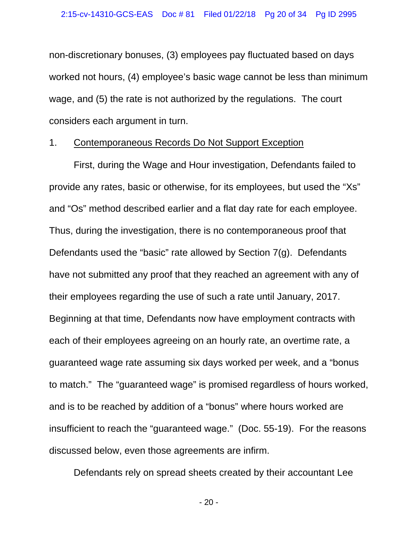non-discretionary bonuses, (3) employees pay fluctuated based on days worked not hours, (4) employee's basic wage cannot be less than minimum wage, and (5) the rate is not authorized by the regulations. The court considers each argument in turn.

#### 1. Contemporaneous Records Do Not Support Exception

First, during the Wage and Hour investigation, Defendants failed to provide any rates, basic or otherwise, for its employees, but used the "Xs" and "Os" method described earlier and a flat day rate for each employee. Thus, during the investigation, there is no contemporaneous proof that Defendants used the "basic" rate allowed by Section 7(g). Defendants have not submitted any proof that they reached an agreement with any of their employees regarding the use of such a rate until January, 2017. Beginning at that time, Defendants now have employment contracts with each of their employees agreeing on an hourly rate, an overtime rate, a guaranteed wage rate assuming six days worked per week, and a "bonus to match." The "guaranteed wage" is promised regardless of hours worked, and is to be reached by addition of a "bonus" where hours worked are insufficient to reach the "guaranteed wage." (Doc. 55-19). For the reasons discussed below, even those agreements are infirm.

Defendants rely on spread sheets created by their accountant Lee

- 20 -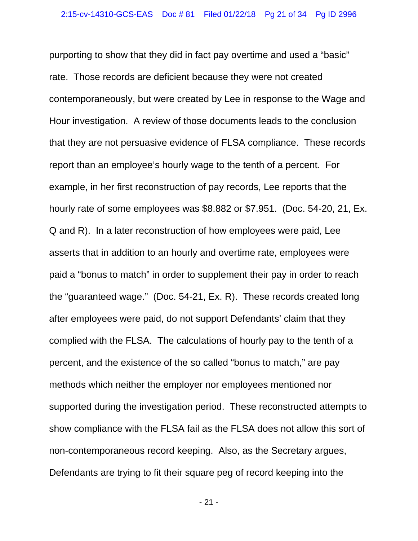purporting to show that they did in fact pay overtime and used a "basic" rate. Those records are deficient because they were not created contemporaneously, but were created by Lee in response to the Wage and Hour investigation. A review of those documents leads to the conclusion that they are not persuasive evidence of FLSA compliance. These records report than an employee's hourly wage to the tenth of a percent. For example, in her first reconstruction of pay records, Lee reports that the hourly rate of some employees was \$8.882 or \$7.951. (Doc. 54-20, 21, Ex. Q and R). In a later reconstruction of how employees were paid, Lee asserts that in addition to an hourly and overtime rate, employees were paid a "bonus to match" in order to supplement their pay in order to reach the "guaranteed wage." (Doc. 54-21, Ex. R). These records created long after employees were paid, do not support Defendants' claim that they complied with the FLSA. The calculations of hourly pay to the tenth of a percent, and the existence of the so called "bonus to match," are pay methods which neither the employer nor employees mentioned nor supported during the investigation period. These reconstructed attempts to show compliance with the FLSA fail as the FLSA does not allow this sort of non-contemporaneous record keeping. Also, as the Secretary argues, Defendants are trying to fit their square peg of record keeping into the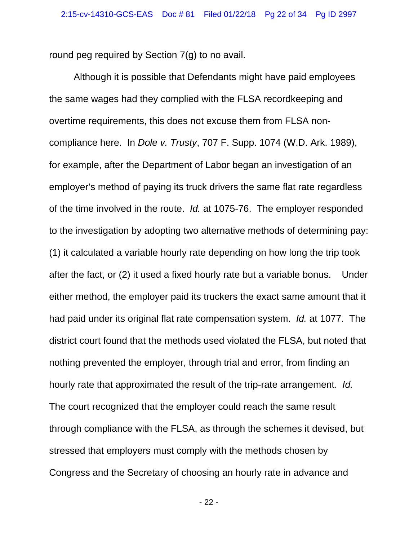round peg required by Section 7(g) to no avail.

Although it is possible that Defendants might have paid employees the same wages had they complied with the FLSA recordkeeping and overtime requirements, this does not excuse them from FLSA noncompliance here. In *Dole v. Trusty*, 707 F. Supp. 1074 (W.D. Ark. 1989), for example, after the Department of Labor began an investigation of an employer's method of paying its truck drivers the same flat rate regardless of the time involved in the route. *Id.* at 1075-76. The employer responded to the investigation by adopting two alternative methods of determining pay: (1) it calculated a variable hourly rate depending on how long the trip took after the fact, or (2) it used a fixed hourly rate but a variable bonus. Under either method, the employer paid its truckers the exact same amount that it had paid under its original flat rate compensation system. *Id.* at 1077. The district court found that the methods used violated the FLSA, but noted that nothing prevented the employer, through trial and error, from finding an hourly rate that approximated the result of the trip-rate arrangement. *Id.* The court recognized that the employer could reach the same result through compliance with the FLSA, as through the schemes it devised, but stressed that employers must comply with the methods chosen by Congress and the Secretary of choosing an hourly rate in advance and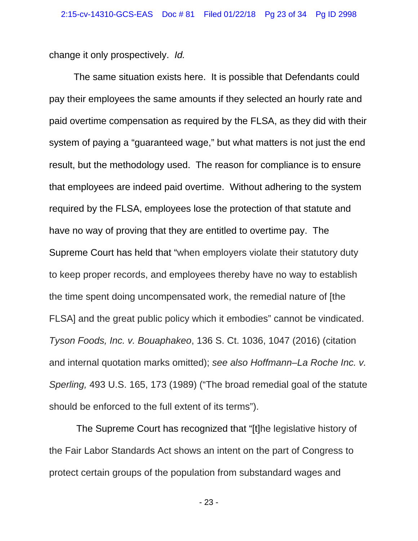change it only prospectively. *Id.*

The same situation exists here. It is possible that Defendants could pay their employees the same amounts if they selected an hourly rate and paid overtime compensation as required by the FLSA, as they did with their system of paying a "guaranteed wage," but what matters is not just the end result, but the methodology used. The reason for compliance is to ensure that employees are indeed paid overtime. Without adhering to the system required by the FLSA, employees lose the protection of that statute and have no way of proving that they are entitled to overtime pay. The Supreme Court has held that "when employers violate their statutory duty to keep proper records, and employees thereby have no way to establish the time spent doing uncompensated work, the remedial nature of [the FLSA] and the great public policy which it embodies" cannot be vindicated. *Tyson Foods, Inc. v. Bouaphakeo*, 136 S. Ct. 1036, 1047 (2016) (citation and internal quotation marks omitted); *see also Hoffmann–La Roche Inc. v. Sperling,* 493 U.S. 165, 173 (1989) ("The broad remedial goal of the statute should be enforced to the full extent of its terms").

 The Supreme Court has recognized that "[t]he legislative history of the Fair Labor Standards Act shows an intent on the part of Congress to protect certain groups of the population from substandard wages and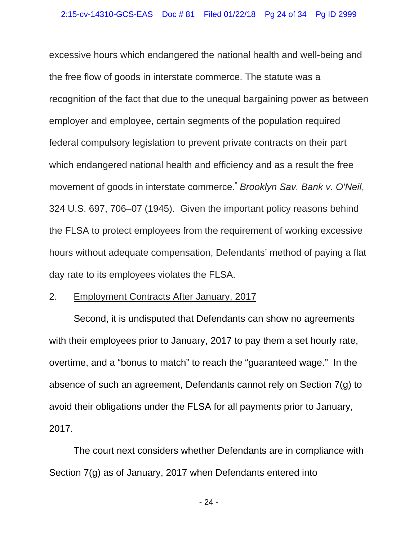excessive hours which endangered the national health and well-being and the free flow of goods in interstate commerce. The statute was a recognition of the fact that due to the unequal bargaining power as between employer and employee, certain segments of the population required federal compulsory legislation to prevent private contracts on their part which endangered national health and efficiency and as a result the free movement of goods in interstate commerce." *Brooklyn Sav. Bank v. O'Neil*, 324 U.S. 697, 706–07 (1945). Given the important policy reasons behind the FLSA to protect employees from the requirement of working excessive hours without adequate compensation, Defendants' method of paying a flat day rate to its employees violates the FLSA.

#### 2. Employment Contracts After January, 2017

Second, it is undisputed that Defendants can show no agreements with their employees prior to January, 2017 to pay them a set hourly rate, overtime, and a "bonus to match" to reach the "guaranteed wage." In the absence of such an agreement, Defendants cannot rely on Section 7(g) to avoid their obligations under the FLSA for all payments prior to January, 2017.

The court next considers whether Defendants are in compliance with Section 7(g) as of January, 2017 when Defendants entered into

- 24 -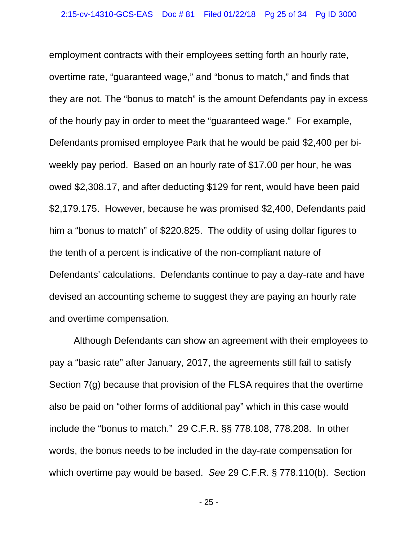employment contracts with their employees setting forth an hourly rate, overtime rate, "guaranteed wage," and "bonus to match," and finds that they are not. The "bonus to match" is the amount Defendants pay in excess of the hourly pay in order to meet the "guaranteed wage." For example, Defendants promised employee Park that he would be paid \$2,400 per biweekly pay period. Based on an hourly rate of \$17.00 per hour, he was owed \$2,308.17, and after deducting \$129 for rent, would have been paid \$2,179.175. However, because he was promised \$2,400, Defendants paid him a "bonus to match" of \$220.825. The oddity of using dollar figures to the tenth of a percent is indicative of the non-compliant nature of Defendants' calculations. Defendants continue to pay a day-rate and have devised an accounting scheme to suggest they are paying an hourly rate and overtime compensation.

Although Defendants can show an agreement with their employees to pay a "basic rate" after January, 2017, the agreements still fail to satisfy Section 7(g) because that provision of the FLSA requires that the overtime also be paid on "other forms of additional pay" which in this case would include the "bonus to match." 29 C.F.R. §§ 778.108, 778.208. In other words, the bonus needs to be included in the day-rate compensation for which overtime pay would be based. *See* 29 C.F.R. § 778.110(b). Section

- 25 -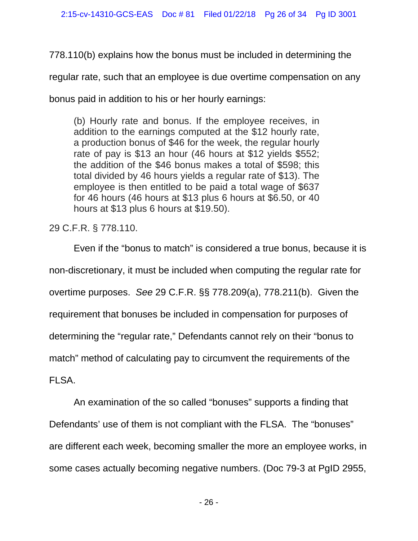778.110(b) explains how the bonus must be included in determining the

regular rate, such that an employee is due overtime compensation on any

bonus paid in addition to his or her hourly earnings:

(b) Hourly rate and bonus. If the employee receives, in addition to the earnings computed at the \$12 hourly rate, a production bonus of \$46 for the week, the regular hourly rate of pay is \$13 an hour (46 hours at \$12 yields \$552; the addition of the \$46 bonus makes a total of \$598; this total divided by 46 hours yields a regular rate of \$13). The employee is then entitled to be paid a total wage of \$637 for 46 hours (46 hours at \$13 plus 6 hours at \$6.50, or 40 hours at \$13 plus 6 hours at \$19.50).

29 C.F.R. § 778.110.

Even if the "bonus to match" is considered a true bonus, because it is non-discretionary, it must be included when computing the regular rate for overtime purposes. *See* 29 C.F.R. §§ 778.209(a), 778.211(b). Given the requirement that bonuses be included in compensation for purposes of determining the "regular rate," Defendants cannot rely on their "bonus to match" method of calculating pay to circumvent the requirements of the FLSA.

An examination of the so called "bonuses" supports a finding that Defendants' use of them is not compliant with the FLSA. The "bonuses" are different each week, becoming smaller the more an employee works, in some cases actually becoming negative numbers. (Doc 79-3 at PgID 2955,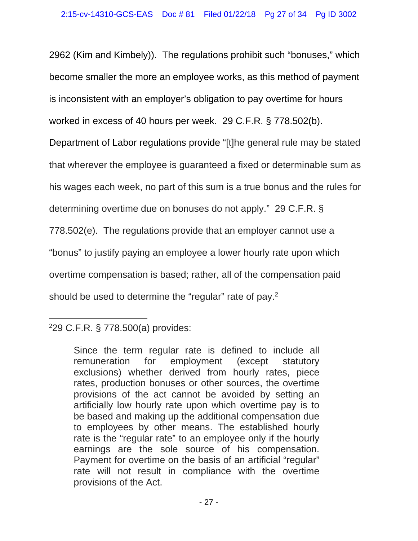2962 (Kim and Kimbely)). The regulations prohibit such "bonuses," which become smaller the more an employee works, as this method of payment is inconsistent with an employer's obligation to pay overtime for hours worked in excess of 40 hours per week. 29 C.F.R. § 778.502(b).

Department of Labor regulations provide "[t]he general rule may be stated

that wherever the employee is guaranteed a fixed or determinable sum as

his wages each week, no part of this sum is a true bonus and the rules for

determining overtime due on bonuses do not apply." 29 C.F.R. §

778.502(e). The regulations provide that an employer cannot use a

"bonus" to justify paying an employee a lower hourly rate upon which

overtime compensation is based; rather, all of the compensation paid

should be used to determine the "regular" rate of pay.<sup>2</sup>

#### $\overline{a}$ 2 29 C.F.R. § 778.500(a) provides:

Since the term regular rate is defined to include all remuneration for employment (except statutory exclusions) whether derived from hourly rates, piece rates, production bonuses or other sources, the overtime provisions of the act cannot be avoided by setting an artificially low hourly rate upon which overtime pay is to be based and making up the additional compensation due to employees by other means. The established hourly rate is the "regular rate" to an employee only if the hourly earnings are the sole source of his compensation. Payment for overtime on the basis of an artificial "regular" rate will not result in compliance with the overtime provisions of the Act.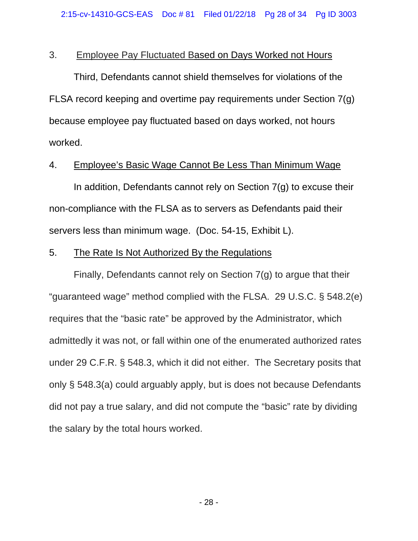# 3. Employee Pay Fluctuated Based on Days Worked not Hours

 Third, Defendants cannot shield themselves for violations of the FLSA record keeping and overtime pay requirements under Section 7(g) because employee pay fluctuated based on days worked, not hours worked.

### 4. Employee's Basic Wage Cannot Be Less Than Minimum Wage

In addition, Defendants cannot rely on Section  $7(g)$  to excuse their non-compliance with the FLSA as to servers as Defendants paid their servers less than minimum wage. (Doc. 54-15, Exhibit L).

## 5. The Rate Is Not Authorized By the Regulations

Finally, Defendants cannot rely on Section 7(g) to argue that their "guaranteed wage" method complied with the FLSA. 29 U.S.C. § 548.2(e) requires that the "basic rate" be approved by the Administrator, which admittedly it was not, or fall within one of the enumerated authorized rates under 29 C.F.R. § 548.3, which it did not either. The Secretary posits that only § 548.3(a) could arguably apply, but is does not because Defendants did not pay a true salary, and did not compute the "basic" rate by dividing the salary by the total hours worked.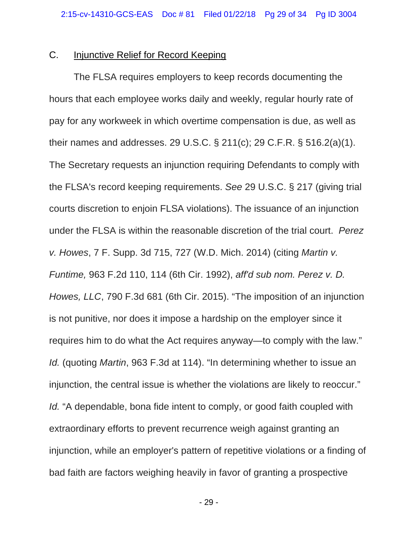### C. Injunctive Relief for Record Keeping

The FLSA requires employers to keep records documenting the hours that each employee works daily and weekly, regular hourly rate of pay for any workweek in which overtime compensation is due, as well as their names and addresses. 29 U.S.C. § 211(c); 29 C.F.R. § 516.2(a)(1). The Secretary requests an injunction requiring Defendants to comply with the FLSA's record keeping requirements. *See* 29 U.S.C. § 217 (giving trial courts discretion to enjoin FLSA violations). The issuance of an injunction under the FLSA is within the reasonable discretion of the trial court. *Perez v. Howes*, 7 F. Supp. 3d 715, 727 (W.D. Mich. 2014) (citing *Martin v. Funtime,* 963 F.2d 110, 114 (6th Cir. 1992), *aff'd sub nom. Perez v. D. Howes, LLC*, 790 F.3d 681 (6th Cir. 2015). "The imposition of an injunction is not punitive, nor does it impose a hardship on the employer since it requires him to do what the Act requires anyway—to comply with the law." *Id.* (quoting *Martin*, 963 F.3d at 114). "In determining whether to issue an injunction, the central issue is whether the violations are likely to reoccur." *Id.* "A dependable, bona fide intent to comply, or good faith coupled with extraordinary efforts to prevent recurrence weigh against granting an injunction, while an employer's pattern of repetitive violations or a finding of bad faith are factors weighing heavily in favor of granting a prospective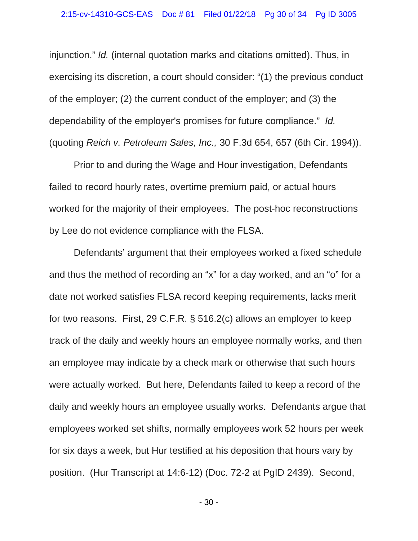injunction." *Id.* (internal quotation marks and citations omitted). Thus, in exercising its discretion, a court should consider: "(1) the previous conduct of the employer; (2) the current conduct of the employer; and (3) the dependability of the employer's promises for future compliance." *Id.*  (quoting *Reich v. Petroleum Sales, Inc.,* 30 F.3d 654, 657 (6th Cir. 1994)).

Prior to and during the Wage and Hour investigation, Defendants failed to record hourly rates, overtime premium paid, or actual hours worked for the majority of their employees. The post-hoc reconstructions by Lee do not evidence compliance with the FLSA.

Defendants' argument that their employees worked a fixed schedule and thus the method of recording an "x" for a day worked, and an "o" for a date not worked satisfies FLSA record keeping requirements, lacks merit for two reasons. First, 29 C.F.R. § 516.2(c) allows an employer to keep track of the daily and weekly hours an employee normally works, and then an employee may indicate by a check mark or otherwise that such hours were actually worked. But here, Defendants failed to keep a record of the daily and weekly hours an employee usually works. Defendants argue that employees worked set shifts, normally employees work 52 hours per week for six days a week, but Hur testified at his deposition that hours vary by position. (Hur Transcript at 14:6-12) (Doc. 72-2 at PgID 2439). Second,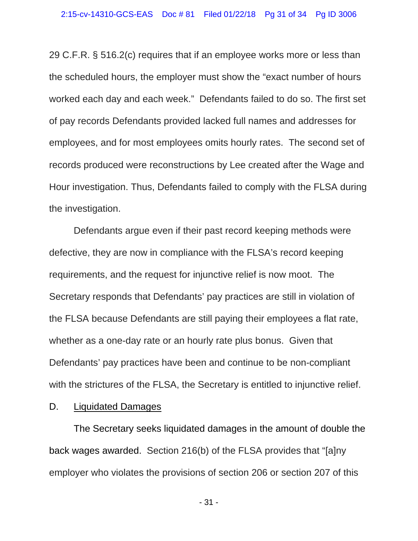29 C.F.R. § 516.2(c) requires that if an employee works more or less than the scheduled hours, the employer must show the "exact number of hours worked each day and each week." Defendants failed to do so. The first set of pay records Defendants provided lacked full names and addresses for employees, and for most employees omits hourly rates. The second set of records produced were reconstructions by Lee created after the Wage and Hour investigation. Thus, Defendants failed to comply with the FLSA during the investigation.

Defendants argue even if their past record keeping methods were defective, they are now in compliance with the FLSA's record keeping requirements, and the request for injunctive relief is now moot. The Secretary responds that Defendants' pay practices are still in violation of the FLSA because Defendants are still paying their employees a flat rate, whether as a one-day rate or an hourly rate plus bonus. Given that Defendants' pay practices have been and continue to be non-compliant with the strictures of the FLSA, the Secretary is entitled to injunctive relief.

### D. Liquidated Damages

 The Secretary seeks liquidated damages in the amount of double the back wages awarded. Section 216(b) of the FLSA provides that "[a]ny employer who violates the provisions of section 206 or section 207 of this

- 31 -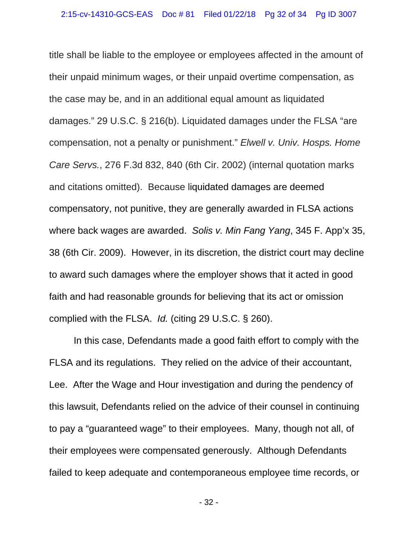title shall be liable to the employee or employees affected in the amount of their unpaid minimum wages, or their unpaid overtime compensation, as the case may be, and in an additional equal amount as liquidated damages." 29 U.S.C. § 216(b). Liquidated damages under the FLSA "are compensation, not a penalty or punishment." *Elwell v. Univ. Hosps. Home Care Servs.*, 276 F.3d 832, 840 (6th Cir. 2002) (internal quotation marks and citations omitted). Because liquidated damages are deemed compensatory, not punitive, they are generally awarded in FLSA actions where back wages are awarded. *Solis v. Min Fang Yang*, 345 F. App'x 35, 38 (6th Cir. 2009). However, in its discretion, the district court may decline to award such damages where the employer shows that it acted in good faith and had reasonable grounds for believing that its act or omission complied with the FLSA. *Id.* (citing 29 U.S.C. § 260).

In this case, Defendants made a good faith effort to comply with the FLSA and its regulations. They relied on the advice of their accountant, Lee. After the Wage and Hour investigation and during the pendency of this lawsuit, Defendants relied on the advice of their counsel in continuing to pay a "guaranteed wage" to their employees. Many, though not all, of their employees were compensated generously. Although Defendants failed to keep adequate and contemporaneous employee time records, or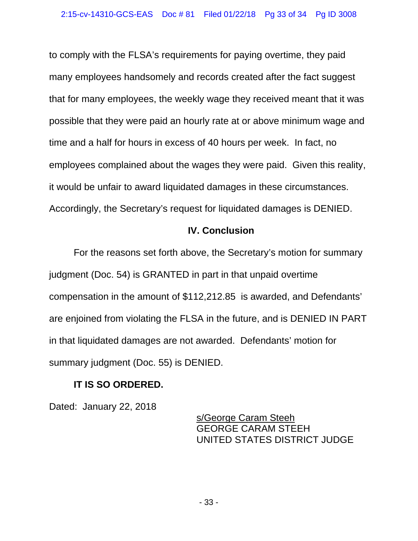to comply with the FLSA's requirements for paying overtime, they paid many employees handsomely and records created after the fact suggest that for many employees, the weekly wage they received meant that it was possible that they were paid an hourly rate at or above minimum wage and time and a half for hours in excess of 40 hours per week. In fact, no employees complained about the wages they were paid. Given this reality, it would be unfair to award liquidated damages in these circumstances. Accordingly, the Secretary's request for liquidated damages is DENIED.

# **IV. Conclusion**

For the reasons set forth above, the Secretary's motion for summary judgment (Doc. 54) is GRANTED in part in that unpaid overtime compensation in the amount of \$112,212.85 is awarded, and Defendants' are enjoined from violating the FLSA in the future, and is DENIED IN PART in that liquidated damages are not awarded. Defendants' motion for summary judgment (Doc. 55) is DENIED.

# **IT IS SO ORDERED.**

Dated: January 22, 2018

 s/George Caram Steeh GEORGE CARAM STEEH UNITED STATES DISTRICT JUDGE